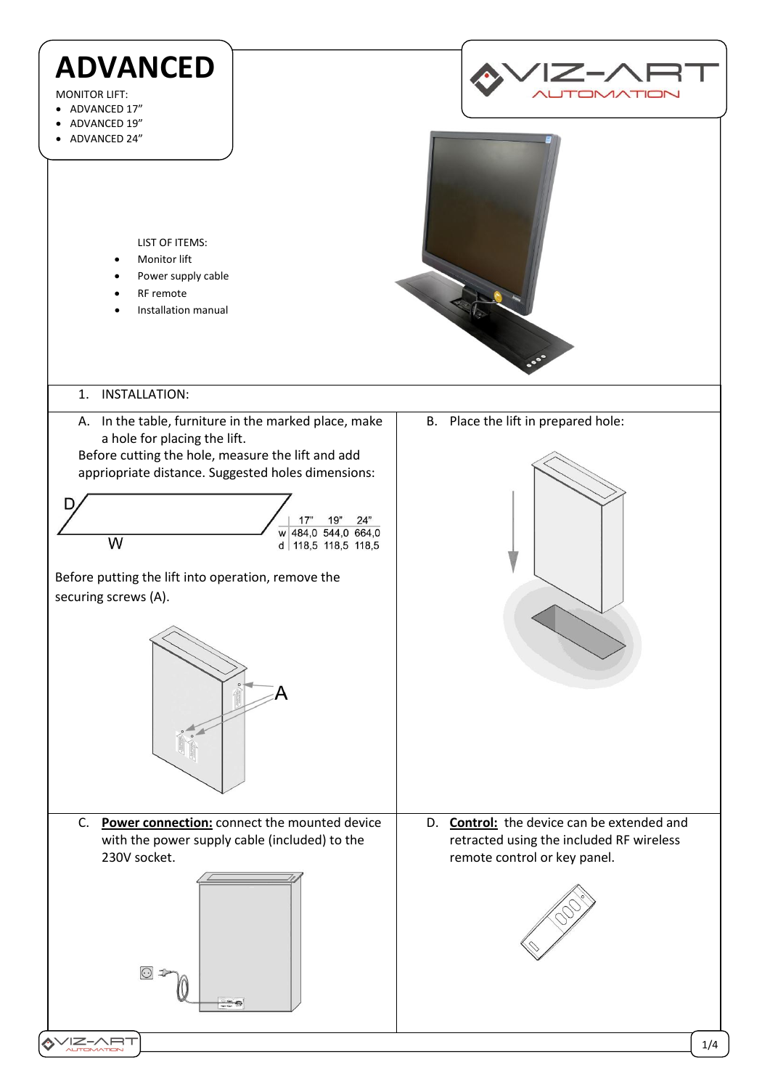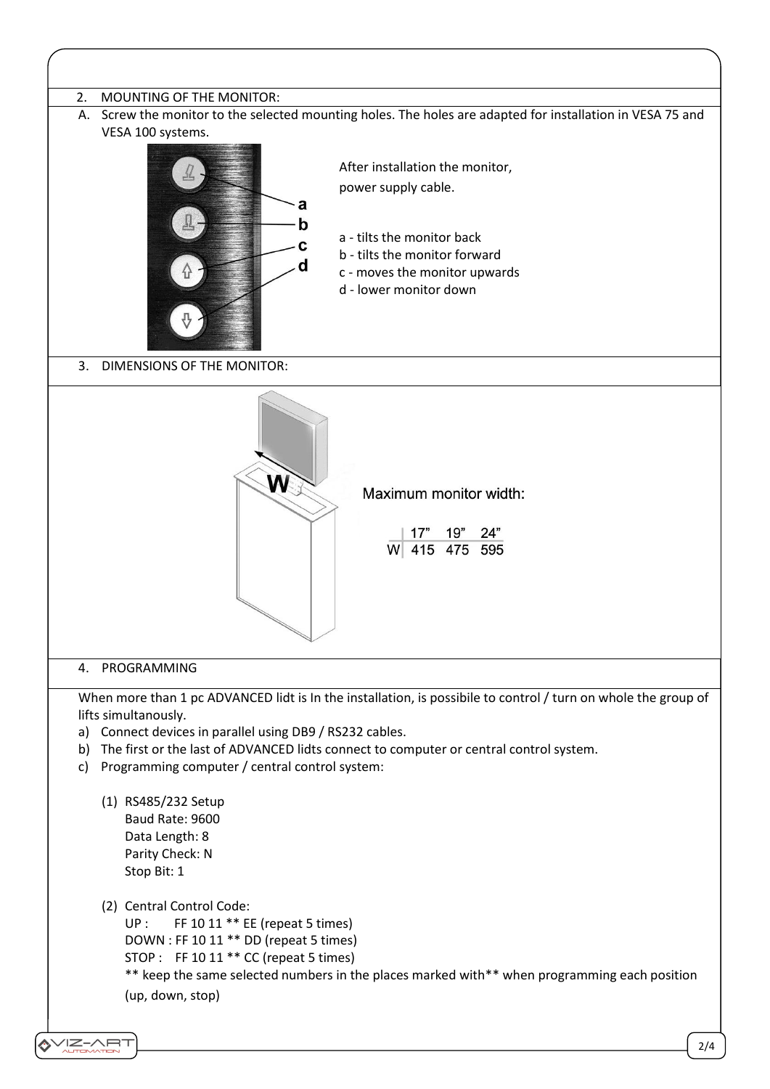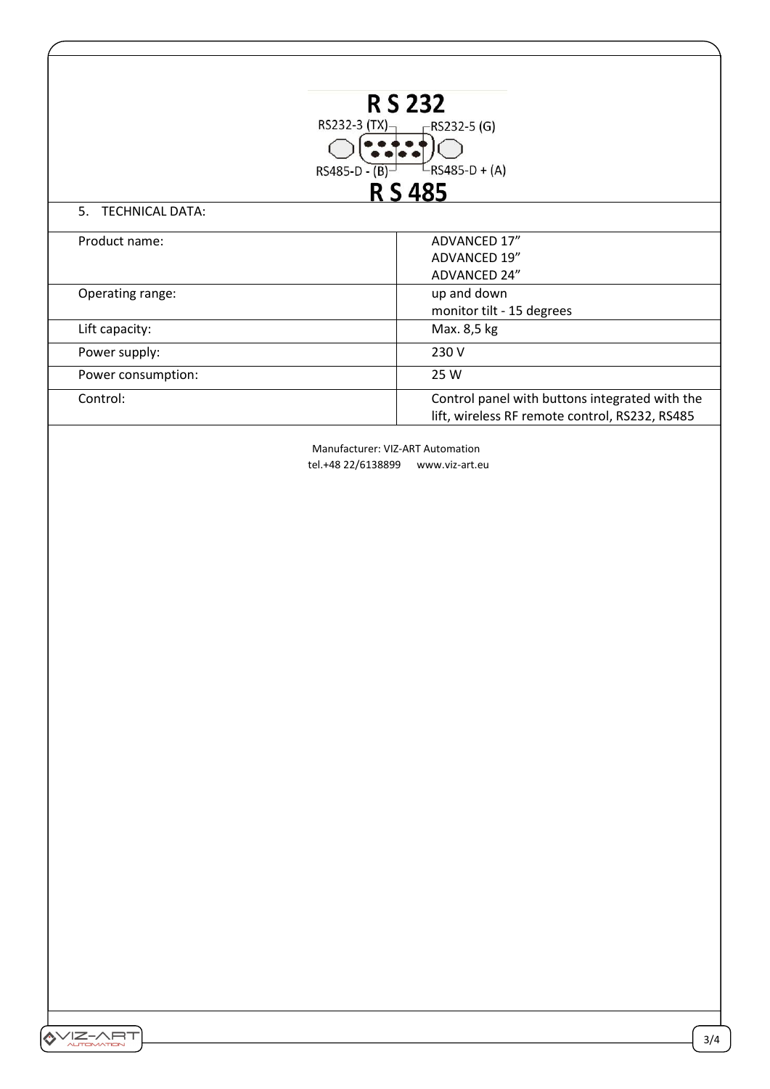| <b>RS 232</b><br>RS232-3 $(TX)_{\neg}$<br>$-$ RS232-5 (G)<br>$L$ RS485-D + (A)<br>$RS485-D - (B)$<br><b>RS485</b> |                                                |
|-------------------------------------------------------------------------------------------------------------------|------------------------------------------------|
| 5.<br><b>TECHNICAL DATA:</b>                                                                                      |                                                |
| Product name:                                                                                                     | ADVANCED 17"                                   |
|                                                                                                                   | ADVANCED 19"                                   |
|                                                                                                                   | ADVANCED 24"                                   |
| Operating range:                                                                                                  | up and down                                    |
|                                                                                                                   | monitor tilt - 15 degrees                      |
| Lift capacity:                                                                                                    | Max. 8,5 kg                                    |
| Power supply:                                                                                                     | 230 V                                          |
| Power consumption:                                                                                                | 25 W                                           |
| Control:                                                                                                          | Control panel with buttons integrated with the |
|                                                                                                                   | lift, wireless RF remote control, RS232, RS485 |

Manufacturer: VIZ-ART Automation tel.+48 22/6138899 www.viz-art.eu